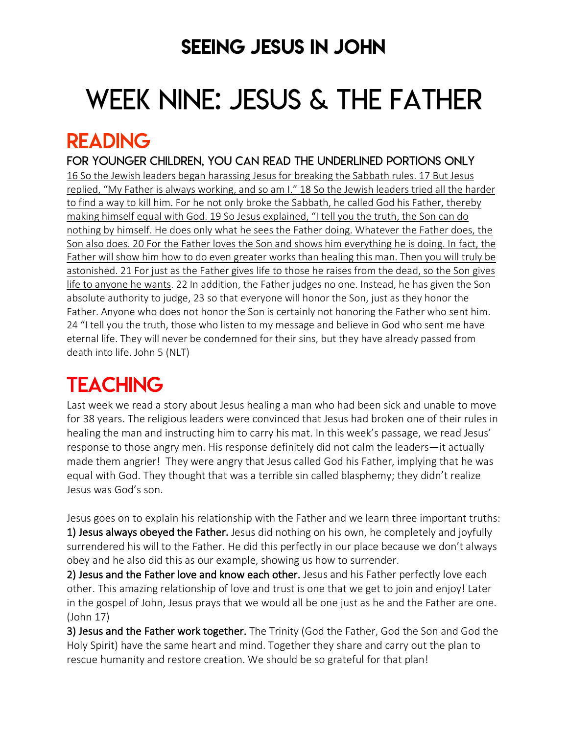### SEEING JESUS IN JOHN

# WEEK NINE: JESUS & THE FATHER

### READING

FOR younger children, YOU can READ THE UNDERLINED PORTIONS ONLY 16 So the Jewish leaders began harassing Jesus for breaking the Sabbath rules. 17 But Jesus replied, "My Father is always working, and so am I." 18 So the Jewish leaders tried all the harder to find a way to kill him. For he not only broke the Sabbath, he called God his Father, thereby making himself equal with God. 19 So Jesus explained, "I tell you the truth, the Son can do nothing by himself. He does only what he sees the Father doing. Whatever the Father does, the Son also does. 20 For the Father loves the Son and shows him everything he is doing. In fact, the Father will show him how to do even greater works than healing this man. Then you will truly be astonished. 21 For just as the Father gives life to those he raises from the dead, so the Son gives life to anyone he wants. 22 In addition, the Father judges no one. Instead, he has given the Son absolute authority to judge, 23 so that everyone will honor the Son, just as they honor the Father. Anyone who does not honor the Son is certainly not honoring the Father who sent him. 24 "I tell you the truth, those who listen to my message and believe in God who sent me have eternal life. They will never be condemned for their sins, but they have already passed from death into life. John 5 (NLT)

# **TEACHING**

Last week we read a story about Jesus healing a man who had been sick and unable to move for 38 years. The religious leaders were convinced that Jesus had broken one of their rules in healing the man and instructing him to carry his mat. In this week's passage, we read Jesus' response to those angry men. His response definitely did not calm the leaders—it actually made them angrier! They were angry that Jesus called God his Father, implying that he was equal with God. They thought that was a terrible sin called blasphemy; they didn't realize Jesus was God's son.

Jesus goes on to explain his relationship with the Father and we learn three important truths: 1) Jesus always obeyed the Father. Jesus did nothing on his own, he completely and joyfully surrendered his will to the Father. He did this perfectly in our place because we don't always obey and he also did this as our example, showing us how to surrender.

2) Jesus and the Father love and know each other. Jesus and his Father perfectly love each other. This amazing relationship of love and trust is one that we get to join and enjoy! Later in the gospel of John, Jesus prays that we would all be one just as he and the Father are one. (John 17)

3) Jesus and the Father work together. The Trinity (God the Father, God the Son and God the Holy Spirit) have the same heart and mind. Together they share and carry out the plan to rescue humanity and restore creation. We should be so grateful for that plan!